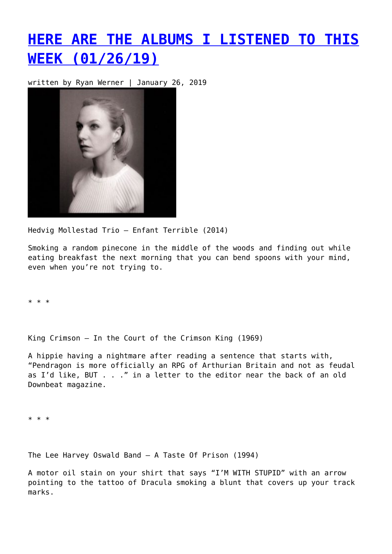## **[HERE ARE THE ALBUMS I LISTENED TO THIS](https://entropymag.org/53147-2/) [WEEK \(01/26/19\)](https://entropymag.org/53147-2/)**

written by Ryan Werner | January 26, 2019



Hedvig Mollestad Trio – Enfant Terrible (2014)

Smoking a random pinecone in the middle of the woods and finding out while eating breakfast the next morning that you can bend spoons with your mind, even when you're not trying to.

\* \* \*

King Crimson – In the Court of the Crimson King (1969)

A hippie having a nightmare after reading a sentence that starts with, "Pendragon is more officially an RPG of Arthurian Britain and not as feudal as I'd like, BUT . . ." in a letter to the editor near the back of an old Downbeat magazine.

\* \* \*

The Lee Harvey Oswald Band – A Taste Of Prison (1994)

A motor oil stain on your shirt that says "I'M WITH STUPID" with an arrow pointing to the tattoo of Dracula smoking a blunt that covers up your track marks.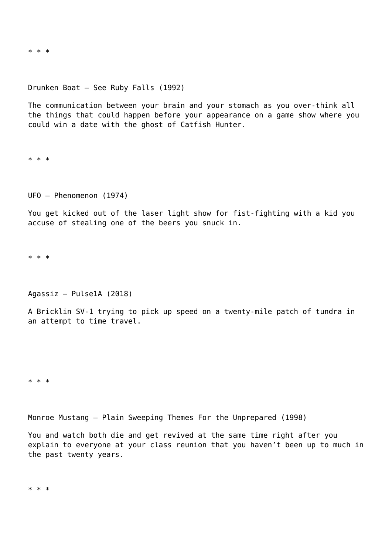\* \* \*

Drunken Boat – See Ruby Falls (1992)

The communication between your brain and your stomach as you over-think all the things that could happen before your appearance on a game show where you could win a date with the ghost of Catfish Hunter.

\* \* \*

UFO – Phenomenon (1974)

You get kicked out of the laser light show for fist-fighting with a kid you accuse of stealing one of the beers you snuck in.

\* \* \*

Agassiz – Pulse1A (2018)

A Bricklin SV-1 trying to pick up speed on a twenty-mile patch of tundra in an attempt to time travel.

\* \* \*

Monroe Mustang – Plain Sweeping Themes For the Unprepared (1998)

You and watch both die and get revived at the same time right after you explain to everyone at your class reunion that you haven't been up to much in the past twenty years.

\* \* \*